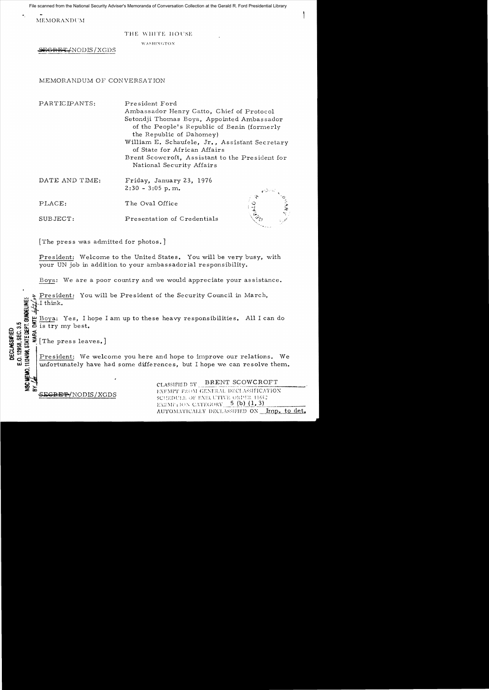File scanned from the National Security Adviser's Memoranda of Conversation Collection at the Gerald R. Ford Presidential Library

MEMORANDUM

## THE WHITE HOUSE

WASHINGTON

~6RE4/NODB/XGDS

## MEMORANDUM OF CONVERSATION

DATE AND TIME: Friday, January 23, 1976  $2:30 - 3:05$  p.m.  $\sim$ PLACE: The Oval Office  $\frac{1}{4}$ SUBJECT: Presentation of Credentials PARTICIPANTS: President Ford Ambassador Henry Catto, Chief of Protocol Setondji Thomas Boya, Appointed Ambassador of the People's Republic of Benin (formerly the Republic of Dahomey) William E. Schaufele, Jr., Assistant Secretary of State for African Affairs Brent Scowcroft, Assistant to the President for National Security Affairs

The press was admitted for photos.]

President: Welcome to the United States. You will be very busy, with your UN job in addition to your ambassadorial responsibility.

Boya: We are a poor country and we would appreciate your assistance.

 $\frac{2}{\sqrt{1}}$  President: You will be President of the Security Council in March,  $\frac{2}{\sqrt{1}}$ . **;** ~I think.

a de Boya: Yes, I hope I am up to these heavy responsibilities. All I can do<br>
a is try my best.<br>
de is try my best.<br>
de is try my best.<br>
de is try my best.<br>
<br>
de infortunately have had some differences, but I hope we can r  $\frac{u}{\delta}$  Boya: Yes, 1 n is try my best.

#EC<br>%EC<br># XE # X  $\mathcal{L}$   $\mathcal{L}$   $\mathcal{L}$   $\mathcal{L}$   $\mathcal{L}$  [The press leaves.]  $\mathcal{L}$   $\mathcal{L}$   $\mathcal{L}$   $\mathcal{L}$   $\mathcal{L}$   $\mathcal{L}$ 

**DECLASSIFIED**<br>E.O. 12958, SEC. 3.5

President: We welcome you here and hope to improve our relations. We unfortunately have had some differences, but I hope we can resolve them.

CLASSIFIED BY BRENT SCOWCROFT **ZlXl**  EXF\IIT F:U )\) CC\FR.\L DECL\SSlrICATlOX .si:C~:f£'P/NODIS/XGDS SClll~lll'Ll·. dF F\El L:Tln: U:~:l!:l: 11(,): EXEMP1 ION CATEGORY  $-$  5 (b) (1, 3) AUTOMATICALLY DECLASSIFIED ON <u>\_ Imp. to det.</u>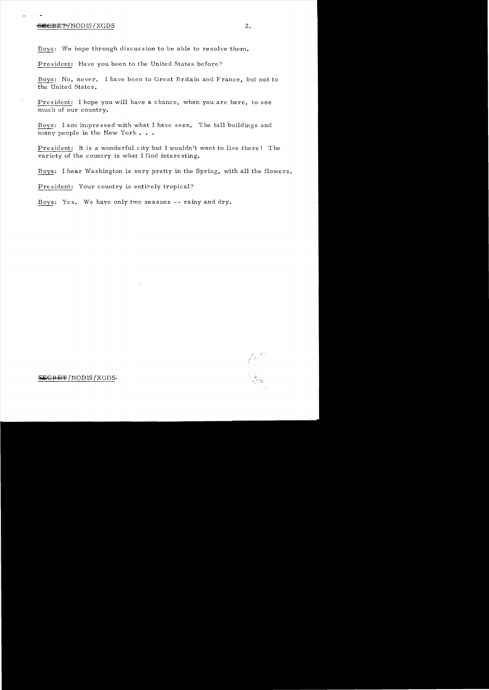## ~/NODIS/XGDS 2.

Boya: We hope through discus sion to be able to resolve them.

President: Have you been to the United States before?

Boya: No, never. I have been to Great Britain and France, but not to the United States.

President: I hope you will have a chance, when you are here, to see much of our country.

Boya: I am impre ssed with what I have seen. The tall buildings and many people in the New York . . .

President: It is a wonderful city but I wouldn't want to live there! The variety of the country is what I find interesting.

Boya: I hear Washington is very pretty in the Spring, with all the flowers.

President: Your country is entirely tropical?

Boya: Yes. We have only two seasons -- rainy and dry.



SEGRET / NODIS / XGDS.